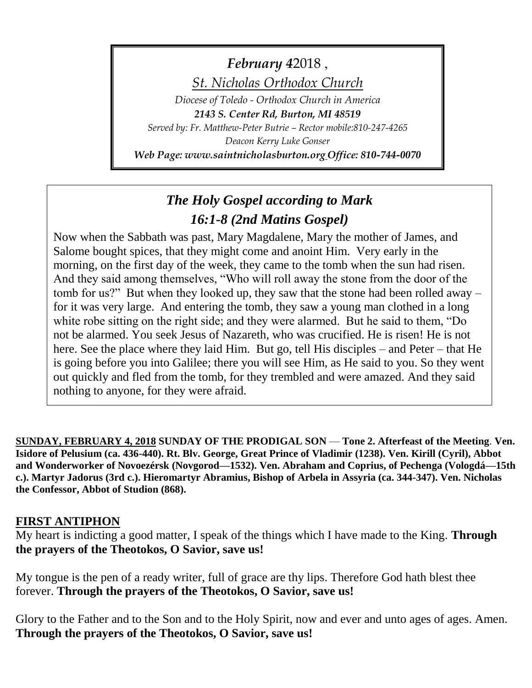*February* 42018,

*St. Nicholas Orthodox Church*

*Diocese of Toledo - Orthodox Church in America 2143 S. Center Rd, Burton, MI 48519*

*Served by: Fr. Matthew-Peter Butrie – Rector mobile:810-247-4265 Deacon Kerry Luke Gonser*

*Web Page: www.saintnicholasburton.org Office: 810-744-0070*

# *The Holy Gospel according to Mark 16:1-8 (2nd Matins Gospel)*

Now when the Sabbath was past, Mary Magdalene, Mary the mother of James, and Salome bought spices, that they might come and anoint Him. Very early in the morning, on the first day of the week, they came to the tomb when the sun had risen. And they said among themselves, "Who will roll away the stone from the door of the tomb for us?" But when they looked up, they saw that the stone had been rolled away – for it was very large. And entering the tomb, they saw a young man clothed in a long white robe sitting on the right side; and they were alarmed. But he said to them, "Do not be alarmed. You seek Jesus of Nazareth, who was crucified. He is risen! He is not here. See the place where they laid Him. But go, tell His disciples – and Peter – that He is going before you into Galilee; there you will see Him, as He said to you. So they went out quickly and fled from the tomb, for they trembled and were amazed. And they said nothing to anyone, for they were afraid.

**SUNDAY, FEBRUARY 4, 2018 SUNDAY OF THE PRODIGAL SON** — **Tone 2. Afterfeast of the Meeting**. **Ven. Isidore of Pelusium (ca. 436-440). Rt. Blv. George, Great Prince of Vladimir (1238). Ven. Kirill (Cyril), Abbot and Wonderworker of Novoezérsk (Novgorod—1532). Ven. Abraham and Coprius, of Pechenga (Vologdá—15th c.). Martyr Jadorus (3rd c.). Hieromartyr Abramius, Bishop of Arbela in Assyria (ca. 344-347). Ven. Nicholas the Confessor, Abbot of Studion (868).**

#### **FIRST ANTIPHON**

My heart is indicting a good matter, I speak of the things which I have made to the King. **Through the prayers of the Theotokos, O Savior, save us!**

My tongue is the pen of a ready writer, full of grace are thy lips. Therefore God hath blest thee forever. **Through the prayers of the Theotokos, O Savior, save us!**

Glory to the Father and to the Son and to the Holy Spirit, now and ever and unto ages of ages. Amen. **Through the prayers of the Theotokos, O Savior, save us!**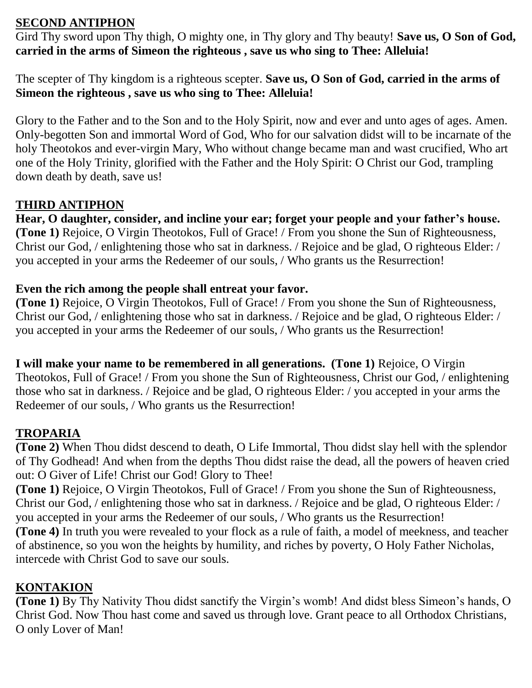### **SECOND ANTIPHON**

Gird Thy sword upon Thy thigh, O mighty one, in Thy glory and Thy beauty! **Save us, O Son of God, carried in the arms of Simeon the righteous , save us who sing to Thee: Alleluia!**

The scepter of Thy kingdom is a righteous scepter. **Save us, O Son of God, carried in the arms of Simeon the righteous , save us who sing to Thee: Alleluia!**

Glory to the Father and to the Son and to the Holy Spirit, now and ever and unto ages of ages. Amen. Only-begotten Son and immortal Word of God, Who for our salvation didst will to be incarnate of the holy Theotokos and ever-virgin Mary, Who without change became man and wast crucified, Who art one of the Holy Trinity, glorified with the Father and the Holy Spirit: O Christ our God, trampling down death by death, save us!

### **THIRD ANTIPHON**

**Hear, O daughter, consider, and incline your ear; forget your people and your father's house. (Tone 1)** Rejoice, O Virgin Theotokos, Full of Grace! / From you shone the Sun of Righteousness, Christ our God, / enlightening those who sat in darkness. / Rejoice and be glad, O righteous Elder: / you accepted in your arms the Redeemer of our souls, / Who grants us the Resurrection!

#### **Even the rich among the people shall entreat your favor.**

**(Tone 1)** Rejoice, O Virgin Theotokos, Full of Grace! / From you shone the Sun of Righteousness, Christ our God, / enlightening those who sat in darkness. / Rejoice and be glad, O righteous Elder: / you accepted in your arms the Redeemer of our souls, / Who grants us the Resurrection!

**I will make your name to be remembered in all generations. (Tone 1)** Rejoice, O Virgin Theotokos, Full of Grace! / From you shone the Sun of Righteousness, Christ our God, / enlightening those who sat in darkness. / Rejoice and be glad, O righteous Elder: / you accepted in your arms the Redeemer of our souls, / Who grants us the Resurrection!

## **TROPARIA**

**(Tone 2)** When Thou didst descend to death, O Life Immortal, Thou didst slay hell with the splendor of Thy Godhead! And when from the depths Thou didst raise the dead, all the powers of heaven cried out: O Giver of Life! Christ our God! Glory to Thee!

**(Tone 1)** Rejoice, O Virgin Theotokos, Full of Grace! / From you shone the Sun of Righteousness, Christ our God, / enlightening those who sat in darkness. / Rejoice and be glad, O righteous Elder: / you accepted in your arms the Redeemer of our souls, / Who grants us the Resurrection! **(Tone 4)** In truth you were revealed to your flock as a rule of faith, a model of meekness, and teacher of abstinence, so you won the heights by humility, and riches by poverty, O Holy Father Nicholas,

### intercede with Christ God to save our souls.

### **KONTAKION**

**(Tone 1)** By Thy Nativity Thou didst sanctify the Virgin's womb! And didst bless Simeon's hands, O Christ God. Now Thou hast come and saved us through love. Grant peace to all Orthodox Christians, O only Lover of Man!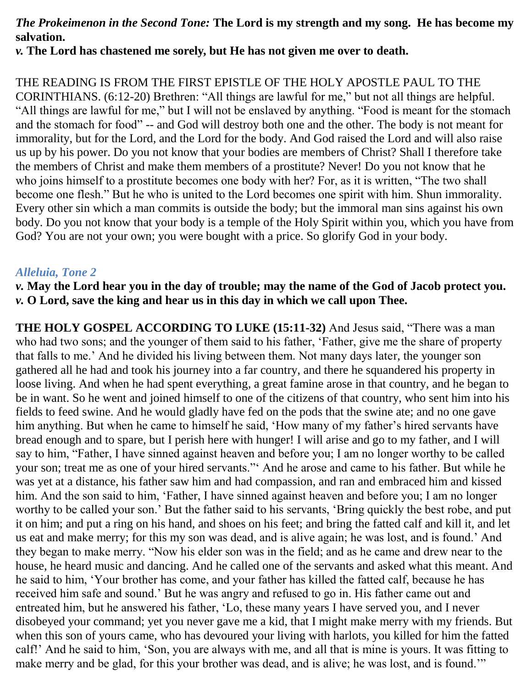#### *The Prokeimenon in the Second Tone:* **The Lord is my strength and my song. He has become my salvation.**

*v.* **The Lord has chastened me sorely, but He has not given me over to death.**

THE READING IS FROM THE FIRST EPISTLE OF THE HOLY APOSTLE PAUL TO THE CORINTHIANS. (6:12-20) Brethren: "All things are lawful for me," but not all things are helpful. "All things are lawful for me," but I will not be enslaved by anything. "Food is meant for the stomach and the stomach for food" -- and God will destroy both one and the other. The body is not meant for immorality, but for the Lord, and the Lord for the body. And God raised the Lord and will also raise us up by his power. Do you not know that your bodies are members of Christ? Shall I therefore take the members of Christ and make them members of a prostitute? Never! Do you not know that he who joins himself to a prostitute becomes one body with her? For, as it is written, "The two shall become one flesh." But he who is united to the Lord becomes one spirit with him. Shun immorality. Every other sin which a man commits is outside the body; but the immoral man sins against his own body. Do you not know that your body is a temple of the Holy Spirit within you, which you have from God? You are not your own; you were bought with a price. So glorify God in your body.

#### *Alleluia, Tone 2*

*v.* **May the Lord hear you in the day of trouble; may the name of the God of Jacob protect you.** *v.* **O Lord, save the king and hear us in this day in which we call upon Thee.**

**THE HOLY GOSPEL ACCORDING TO LUKE (15:11-32)** And Jesus said, "There was a man who had two sons; and the younger of them said to his father, 'Father, give me the share of property that falls to me.' And he divided his living between them. Not many days later, the younger son gathered all he had and took his journey into a far country, and there he squandered his property in loose living. And when he had spent everything, a great famine arose in that country, and he began to be in want. So he went and joined himself to one of the citizens of that country, who sent him into his fields to feed swine. And he would gladly have fed on the pods that the swine ate; and no one gave him anything. But when he came to himself he said, 'How many of my father's hired servants have bread enough and to spare, but I perish here with hunger! I will arise and go to my father, and I will say to him, "Father, I have sinned against heaven and before you; I am no longer worthy to be called your son; treat me as one of your hired servants."' And he arose and came to his father. But while he was yet at a distance, his father saw him and had compassion, and ran and embraced him and kissed him. And the son said to him, 'Father, I have sinned against heaven and before you; I am no longer worthy to be called your son.' But the father said to his servants, 'Bring quickly the best robe, and put it on him; and put a ring on his hand, and shoes on his feet; and bring the fatted calf and kill it, and let us eat and make merry; for this my son was dead, and is alive again; he was lost, and is found.' And they began to make merry. "Now his elder son was in the field; and as he came and drew near to the house, he heard music and dancing. And he called one of the servants and asked what this meant. And he said to him, 'Your brother has come, and your father has killed the fatted calf, because he has received him safe and sound.' But he was angry and refused to go in. His father came out and entreated him, but he answered his father, 'Lo, these many years I have served you, and I never disobeyed your command; yet you never gave me a kid, that I might make merry with my friends. But when this son of yours came, who has devoured your living with harlots, you killed for him the fatted calf!' And he said to him, 'Son, you are always with me, and all that is mine is yours. It was fitting to make merry and be glad, for this your brother was dead, and is alive; he was lost, and is found."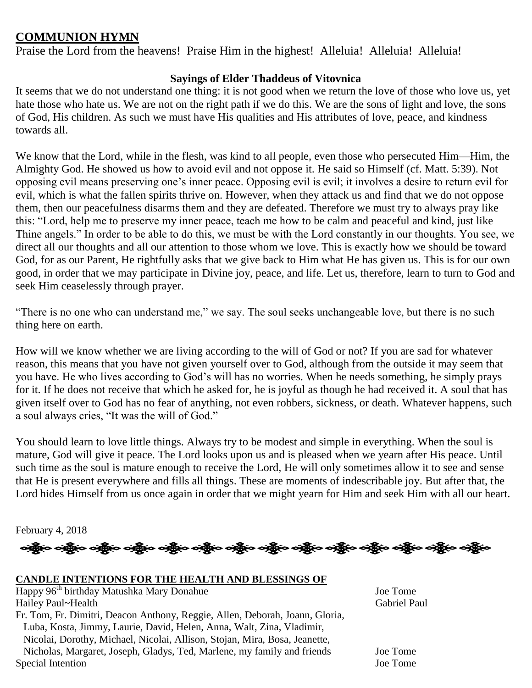#### **COMMUNION HYMN**

Praise the Lord from the heavens! Praise Him in the highest! Alleluia! Alleluia! Alleluia!

#### **Sayings of Elder Thaddeus of Vitovnica**

It seems that we do not understand one thing: it is not good when we return the love of those who love us, yet hate those who hate us. We are not on the right path if we do this. We are the sons of light and love, the sons of God, His children. As such we must have His qualities and His attributes of love, peace, and kindness towards all.

We know that the Lord, while in the flesh, was kind to all people, even those who persecuted Him—Him, the Almighty God. He showed us how to avoid evil and not oppose it. He said so Himself (cf. Matt. 5:39). Not opposing evil means preserving one's inner peace. Opposing evil is evil; it involves a desire to return evil for evil, which is what the fallen spirits thrive on. However, when they attack us and find that we do not oppose them, then our peacefulness disarms them and they are defeated. Therefore we must try to always pray like this: "Lord, help me to preserve my inner peace, teach me how to be calm and peaceful and kind, just like Thine angels." In order to be able to do this, we must be with the Lord constantly in our thoughts. You see, we direct all our thoughts and all our attention to those whom we love. This is exactly how we should be toward God, for as our Parent, He rightfully asks that we give back to Him what He has given us. This is for our own good, in order that we may participate in Divine joy, peace, and life. Let us, therefore, learn to turn to God and seek Him ceaselessly through prayer.

"There is no one who can understand me," we say. The soul seeks unchangeable love, but there is no such thing here on earth.

How will we know whether we are living according to the will of God or not? If you are sad for whatever reason, this means that you have not given yourself over to God, although from the outside it may seem that you have. He who lives according to God's will has no worries. When he needs something, he simply prays for it. If he does not receive that which he asked for, he is joyful as though he had received it. A soul that has given itself over to God has no fear of anything, not even robbers, sickness, or death. Whatever happens, such a soul always cries, "It was the will of God."

You should learn to love little things. Always try to be modest and simple in everything. When the soul is mature, God will give it peace. The Lord looks upon us and is pleased when we yearn after His peace. Until such time as the soul is mature enough to receive the Lord, He will only sometimes allow it to see and sense that He is present everywhere and fills all things. These are moments of indescribable joy. But after that, the Lord hides Himself from us once again in order that we might yearn for Him and seek Him with all our heart.

န္းန္ပြီးေနန္း ကို ေနာ္တြင္း တိုင္း လွ်ာ္ေရးဆြဲေတြက သည္ဆိုေနန္း တိုင္း တင္သိုးေနန္း တင္သိုးေနန္း ေနာ္တြင္း ပညာ

February 4, 2018

#### **CANDLE INTENTIONS FOR THE HEALTH AND BLESSINGS OF**

Happy 96<sup>th</sup> birthday Matushka Mary Donahue Joe Tome Hailey Paul~Health Gabriel Paul Fr. Tom, Fr. Dimitri, Deacon Anthony, Reggie, Allen, Deborah, Joann, Gloria, Luba, Kosta, Jimmy, Laurie, David, Helen, Anna, Walt, Zina, Vladimir, Nicolai, Dorothy, Michael, Nicolai, Allison, Stojan, Mira, Bosa, Jeanette, Nicholas, Margaret, Joseph, Gladys, Ted, Marlene, my family and friends Joe Tome Special Intention Joe Tome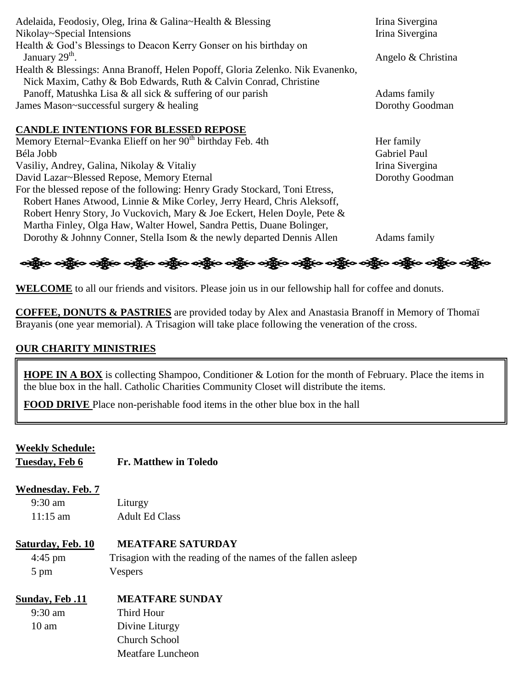| Adelaida, Feodosiy, Oleg, Irina & Galina~Health & Blessing                    | Irina Sivergina     |
|-------------------------------------------------------------------------------|---------------------|
| Nikolay~Special Intensions                                                    | Irina Sivergina     |
| Health & God's Blessings to Deacon Kerry Gonser on his birthday on            |                     |
| January 29 <sup>th</sup> .                                                    | Angelo & Christina  |
| Health & Blessings: Anna Branoff, Helen Popoff, Gloria Zelenko. Nik Evanenko, |                     |
| Nick Maxim, Cathy & Bob Edwards, Ruth & Calvin Conrad, Christine              |                     |
| Panoff, Matushka Lisa & all sick & suffering of our parish                    | Adams family        |
| James Mason~successful surgery & healing                                      | Dorothy Goodman     |
|                                                                               |                     |
| <b>CANDLE INTENTIONS FOR BLESSED REPOSE</b>                                   |                     |
| Memory Eternal~Evanka Elieff on her 90 <sup>th</sup> birthday Feb. 4th        | Her family          |
| Béla Jobb                                                                     | <b>Gabriel Paul</b> |
| Vasiliy, Andrey, Galina, Nikolay & Vitaliy                                    | Irina Sivergina     |
| David Lazar~Blessed Repose, Memory Eternal                                    | Dorothy Goodman     |
| For the blessed repose of the following: Henry Grady Stockard, Toni Etress,   |                     |
| Robert Hanes Atwood, Linnie & Mike Corley, Jerry Heard, Chris Aleksoff,       |                     |

Dorothy & Johnny Conner, Stella Isom & the newly departed Dennis Allen Adams family

ခရွို့လ ခရွိ**့ သို့လ ခရွိသည့် သည် ပည်သည် သည် သည် သည် သည် သည် သည်**သည်။

**WELCOME** to all our friends and visitors. Please join us in our fellowship hall for coffee and donuts.

**COFFEE, DONUTS & PASTRIES** are provided today by Alex and Anastasia Branoff in Memory of Thomaï Brayanis (one year memorial). A Trisagion will take place following the veneration of the cross.

#### **OUR CHARITY MINISTRIES**

**HOPE IN A BOX** is collecting Shampoo, Conditioner & Lotion for the month of February. Place the items in the blue box in the hall. Catholic Charities Community Closet will distribute the items.

**FOOD DRIVE** Place non-perishable food items in the other blue box in the hall

Robert Henry Story, Jo Vuckovich, Mary & Joe Eckert, Helen Doyle, Pete & Martha Finley, Olga Haw, Walter Howel, Sandra Pettis, Duane Bolinger,

| <b>Weekly Schedule:</b><br>Tuesday, Feb 6 | <b>Fr. Matthew in Toledo</b>                                  |
|-------------------------------------------|---------------------------------------------------------------|
| Wednesday. Feb. 7                         |                                                               |
| $9:30 \text{ am}$                         | Liturgy                                                       |
| $11:15 \text{ am}$                        | <b>Adult Ed Class</b>                                         |
| Saturday, Feb. 10                         | <b>MEATFARE SATURDAY</b>                                      |
| $4:45 \text{ pm}$                         | Trisagion with the reading of the names of the fallen as leep |
| 5 pm                                      | Vespers                                                       |
| <b>Sunday, Feb.11</b>                     | <b>MEATFARE SUNDAY</b>                                        |
| $9:30 \text{ am}$                         | Third Hour                                                    |
| $10 \text{ am}$                           | Divine Liturgy                                                |
|                                           | Church School                                                 |
|                                           | Meatfare Luncheon                                             |
|                                           |                                                               |